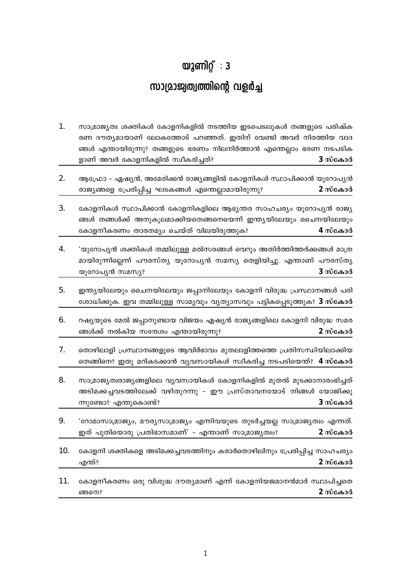# $\omega$ 2) യുണിറ്റ് : 3 സാദ്രാജ്വത്വത്തിന്റെ വളർച

- $\mathbf{1}$ . സാമ്രാജ്യത്വ ശക്തികൾ കോളനികളിൽ നടത്തിയ ഇടപെടലുകൾ തങ്ങളുടെ പരിഷ്ക രണ ദൗത്യമായാണ് ലോകത്തോട് പറഞ്ഞത്. ഇതിന് വേണ്ടി അവർ നിരത്തിയ വാദ ങ്ങൾ എന്തായിരുന്നു? തങ്ങളുടെ ഭരണം നിലനിർത്താൻ എന്തെല്ലാം ഭരണ നടപടിക ളാണ് അവർ കോളനികളിൽ സ്വീകരിച്ചത്? 3 സ്കോർ
- $\overline{2}$ . ആഫ്രോ – ഏഷ്യൻ, അമേരിക്കൻ രാജ്യങ്ങളിൽ കോളനികൾ സ്ഥാപിക്കാൻ യുറോപ്യൻ രാജ്യങ്ങളെ പ്രേരിപ്പിച്ച ഘടകങ്ങൾ എന്തെല്ലാമായിരുന്നു?  $2$  സ്കോർ
- 3. കോളനികൾ സ്ഥാപിക്കാൻ കോളനികളിലെ ആഭ്യന്തര സാഹചര്യം യൂറോപ്യൻ രാജ്യ ങ്ങൾ തങ്ങൾക്ക് അനുകുലമാക്കിയതെങ്ങനെയെന്ന് ഇന്ത്യയിലേയും ചൈനയിലേയും കോളനീകരണം താരതമ്യം ചെയ്ത് വിലയിരുത്തുക? 4 സ്കോർ
- 4. 'യുറോപ്യൻ ശക്തികൾ തമ്മിലുള്ള മൽസരങ്ങൾ വെറും അതിർത്തിത്തർക്കങ്ങൾ മാത്ര മായിരുന്നില്ലെന്ന് പൗരസ്ത്യ യൂറോപ്യൻ സമസ്യ തെളിയിച്ചു. എന്താണ് പൗരസ്ത്യ യൂറോപൃൻ സമസ്യ? 3 സ്കോർ
- $5<sub>1</sub>$ ഇന്ത്യയിലേയും ചൈനയിലേയും ജപ്പാനിലേയും കോളനി വിരുദ്ധ പ്രസ്ഥാനങ്ങൾ പരി ശോധിക്കുക. ഇവ തമ്മിലുള്ള സാമൃവും വൃത്യാസവും പട്ടികപ്പെടുത്തുക? 3 സ്കോർ
- 6. റഷ്യയുടെ മേൽ ജപ്പാനുണ്ടായ വിജയം ഏഷ്യൻ രാജ്യങ്ങളിലെ കോളനി വിരുദ്ധ സമര ങ്ങൾക്ക് നൽകിയ സന്ദേശം എന്തായിരുന്നു? 2 സ്കോർ
- $7<sup>1</sup>$ തൊഴിലാളി പ്രസ്ഥാനങ്ങളുടെ ആവിർഭാവം മുതലാളിത്തത്തെ പ്രതിസന്ധിയിലാക്കിയ തെങ്ങിനെ? ഇതു മറികടക്കാൻ വ്യവസായികൾ സ്വീകരിച്ച നടപടിയെന്ത്? 4 സ്കോർ
- 8. സാമ്രാജ്യത്വരാജ്യങ്ങളിലെ വ്യവസായികൾ കോളനികളിൽ മുതൽ മുടക്കാനാരംഭിച്ചത് അടിമക്കച്ചവടത്തിലേക്ക് വഴിതുറന്നു - ഈ പ്രസ്താവനയോട് നിങ്ങൾ യോജിക്കു ന്നുണ്ടോ? എന്തുകൊണ്ട്?  $3$  സ്കോർ
- 9. 'റോമാസാമ്രാജ്യം, മൗര്യസാമ്രാജ്യം എന്നിവയുടെ തുടർച്ചയല്ല സാമ്രാജ്യത്വം എന്നത്. ഇത് പുതിയൊരു പ്രതിഭാസമാണ്' – എന്താണ് സാമ്രാജ്യത്വം? 2 സ്കോർ
- $10.$ കോളനി ശക്തികളെ അടിമക്കച്ചവടത്തിനും കരാർതൊഴിലിനും പ്രേരിപ്പിച്ച സാഹചര്യം എന്ത്?  $2 \text{ m}$ കോർ
- 11. കോളനീകരണം ഒരു വിശുദ്ധ ദൗത്യമാണ് എന്ന് കോളനിയജമാനൻമാർ സ്ഥാപിച്ചതെ 2 സ്കോർ ങ്ങനെ?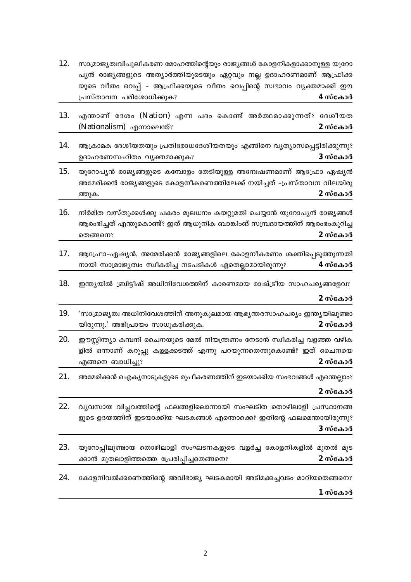- 12. സാമ്രാജ്യത്വവിപുലീകരണ മോഹത്തിന്റെയും രാജ്യങ്ങൾ കോളനികളാക്കാനുള്ള യൂറോ പൃൻ രാജ്യങ്ങളുടെ അത്യാർത്തിയുടെയും ഏറ്റവും നല്ല ഉദാഹരണമാണ് ആഫ്രിക്ക യുടെ വീതം വെപ്പ് - ആഫ്രിക്കയുടെ വീതം വെപ്പിന്റെ സ്വഭാവം വ്യക്തമാക്കി ഈ പ്രസ്താവന പരിശോധിക്കുക? 4 സ്കോർ
- 13. .എന്താണ് ദേശം (Nation) എന്ന പദം കൊണ്ട് അർത്ഥമാക്കുന്നത്? ദേശീയത (Nationalism) എന്നാലെന്ത്? 2 സ്കോർ
- 14. ആക്രാമക ദേശീയതയും പ്രതിരോധദേശീയതയും എങ്ങിനെ വ്യത്യാസപ്പെട്ടിരിക്കുന്നു?  $3$  സ്കോർ ഉദാഹരണസഹിതം വ്യക്തമാക്കുക?
- 15. യുറോപ്യൻ രാജ്യങ്ങളുടെ കമ്പോളം തേടിയുള്ള അമ്പേഷണമാണ് ആഫ്രോ ഏഷ്യൻ അമേരിക്കൻ രാജ്യങ്ങളുടെ കോളനീകരണത്തിലേക്ക് നയിച്ചത് -പ്രസ്താവന വിലയിരു 2 സ്കോർ ത്തുക.
- 16. നിർമിത വസ്തുക്കൾക്കു പകരം മൂലധനം കയറ്റുമതി ചെയ്യാൻ യൂറോപ്യൻ രാജ്യങ്ങൾ ആരംഭിച്ചത് എന്തുകൊണ്ട്? ഇത് ആധുനിക ബാങ്കിംങ് സമ്പ്രദായത്തിന് ആരംഭംകുറിച്ച  $2$  സ്കോർ തെങ്ങനെ?
- 17. ആഫ്രോ-ഏഷ്യൻ, അമേരിക്കൻ രാജ്യങ്ങളിലെ കോളനീകരണം ശക്തിപ്പെടുത്തുന്നതി നായി സാമ്രാജ്യത്വം സ്വീകരിച്ച നടപടികൾ ഏതെല്ലാമായിരുന്നു? 4 സ്കോർ

18. ഇന്ത്യയിൽ ബ്രിട്ടീഷ് അധിനിവേശത്തിന് കാരണമായ രാഷ്ട്രീയ സാഹചര്യങ്ങളേവ?

 $2$  സ്കോർ

19. 'സാമ്രാജ്യത്വ അധിനിവേശത്തിന് അനുകൂലമായ ആഭ്യന്തരസാഹചര്യം ഇന്ത്യയിലുണ്ടാ യിരുന്നു.' അഭിപ്രായം സാധൂകരിക്കുക. 2 സ്കോർ

20. ഈസ്കിന്ത്യാ കമ്പനി ചൈനയുടെ മേൽ നിയന്ത്രണം നേടാൻ സ്വീകരിച്ച വളഞ്ഞ വഴിക ളിൽ ഒന്നാണ് കറുപ്പു കള്ളക്കടത്ത് എന്നു പറയുന്നതെന്തുകൊണ്ട്? ഇത് ചൈനയെ  $2$  സ്കോർ എങ്ങനെ ബാധിച്ചു?

21. അമേരിക്കൻ ഐക്യനാടുകളുടെ രൂപീകരണത്തിന് ഇടയാക്കിയ സംഭവങ്ങൾ എന്തെല്ലാം?

 $2$  സ്കോർ

 $22.$ വ്യവസായ വിപ്പവത്തിന്റെ ഫലങ്ങളിലൊന്നായി സംഘടിത തൊഴിലാളി പ്രസ്ഥാനങ്ങ ളുടെ ഉദയത്തിന് ഇടയാക്കിയ ഘടകങ്ങൾ എന്തൊക്കെ? ഇതിന്റെ ഫലമെന്തായിരുന്നു? 3 സ്കോർ

23. യൂറോപ്പിലുണ്ടായ തൊഴിലാളി സംഘടനകളുടെ വളർച്ച കോളനികളിൽ മുതൽ മുട ക്കാൻ മുതലാളിത്തത്തെ പ്രേരിപ്പിച്ചതെങ്ങനെ? 2 സ്കോർ

24. കോളനിവൽക്കരണത്തിന്റെ അവിഭാജ്യ ഘടകമായി അടിമക്കച്ചവടം മാറിയതെങ്ങനെ? 1 സ്കോർ